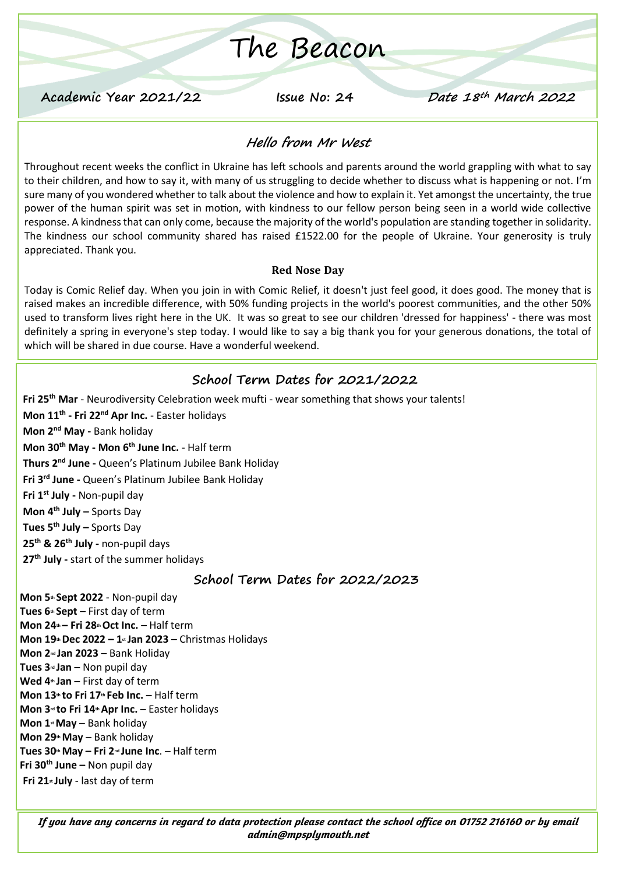# The Beacon

**Academic Year 2021/22 Issue No: 24 Date 18th March 2022**

#### **Hello from Mr West**

Throughout recent weeks the conflict in Ukraine has left schools and parents around the world grappling with what to say to their children, and how to say it, with many of us struggling to decide whether to discuss what is happening or not. I'm sure many of you wondered whether to talk about the violence and how to explain it. Yet amongst the uncertainty, the true power of the human spirit was set in motion, with kindness to our fellow person being seen in a world wide collective response. A kindness that can only come, because the majority of the world's population are standing together in solidarity. The kindness our school community shared has raised £1522.00 for the people of Ukraine. Your generosity is truly appreciated. Thank you.

#### **Red Nose Day**

Today is Comic Relief day. When you join in with Comic Relief, it doesn't just feel good, it does good. The money that is raised makes an incredible difference, with 50% funding projects in the world's poorest communities, and the other 50% used to transform lives right here in the UK. It was so great to see our children 'dressed for happiness' - there was most definitely a spring in everyone's step today. I would like to say a big thank you for your generous donations, the total of which will be shared in due course. Have a wonderful weekend.

### **School Term Dates for 2021/2022**

**Fri 25th Mar** - Neurodiversity Celebration week mufti - wear something that shows your talents! **Mon 11th - Fri 22nd Apr Inc.** - Easter holidays **Mon 2nd May -** Bank holiday **Mon 30th May - Mon 6th June Inc.** - Half term **Thurs 2 nd June -** Queen's Platinum Jubilee Bank Holiday **Fri 3rd June -** Queen's Platinum Jubilee Bank Holiday **Fri 1st July -** Non-pupil day **Mon 4th July –** Sports Day **Tues 5 th July –** Sports Day **25th & 26th July -** non-pupil days **27th July -** start of the summer holidays

#### **School Term Dates for 2022/2023**

**Mon 5th Sept 2022** - Non-pupil day **Tues 6th Sept** – First day of term **Mon 24th – Fri 28thOct Inc.** – Half term **Mon 19thDec 2022 – 1st Jan 2023** – Christmas Holidays **Mon 2nd Jan 2023** – Bank Holiday **Tues 3rd Jan** – Non pupil day **Wed 4th Jan** – First day of term **Mon 13th to Fri 17th Feb Inc.** – Half term **Mon 3rd to Fri 14thApr Inc.** – Easter holidays **Mon 1stMay** – Bank holiday **Mon 29thMay** – Bank holiday **Tues 30thMay – Fri 2nd June Inc**. – Half term **Fri 30th June –** Non pupil day **Fri 21st July** - last day of term

*If you have any concerns in regard to data protection please contact the school office on 01752 216160 or by email admin@mpsplymouth.net*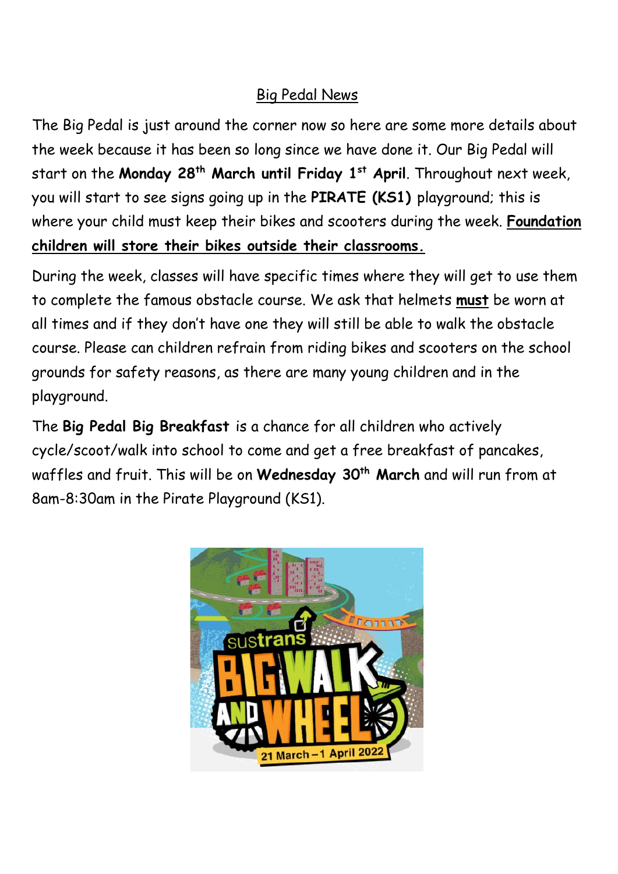# Big Pedal News

The Big Pedal is just around the corner now so here are some more details about the week because it has been so long since we have done it. Our Big Pedal will start on the **Monday 28th March until Friday 1st April**. Throughout next week, you will start to see signs going up in the **PIRATE (KS1)** playground; this is where your child must keep their bikes and scooters during the week. **Foundation children will store their bikes outside their classrooms.**

During the week, classes will have specific times where they will get to use them to complete the famous obstacle course. We ask that helmets **must** be worn at all times and if they don't have one they will still be able to walk the obstacle course. Please can children refrain from riding bikes and scooters on the school grounds for safety reasons, as there are many young children and in the playground.

The **Big Pedal Big Breakfast** is a chance for all children who actively cycle/scoot/walk into school to come and get a free breakfast of pancakes, waffles and fruit. This will be on **Wednesday 30th March** and will run from at 8am-8:30am in the Pirate Playground (KS1).

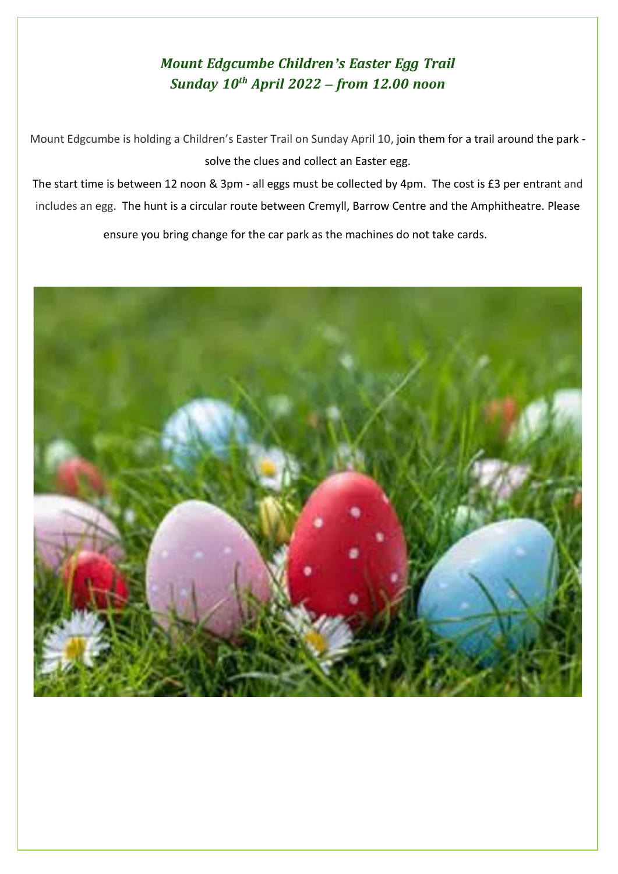## *Mount Edgcumbe Children's Easter Egg Trail Sunday 10th April 2022 – from 12.00 noon*

Mount Edgcumbe is holding a Children's Easter Trail on Sunday April 10, join them for a trail around the park solve the clues and collect an Easter egg.

The start time is between 12 noon & 3pm - all eggs must be collected by 4pm. The cost is £3 per entrant and includes an egg. The hunt is a circular route between Cremyll, Barrow Centre and the Amphitheatre. Please

ensure you bring change for the car park as the machines do not take cards.